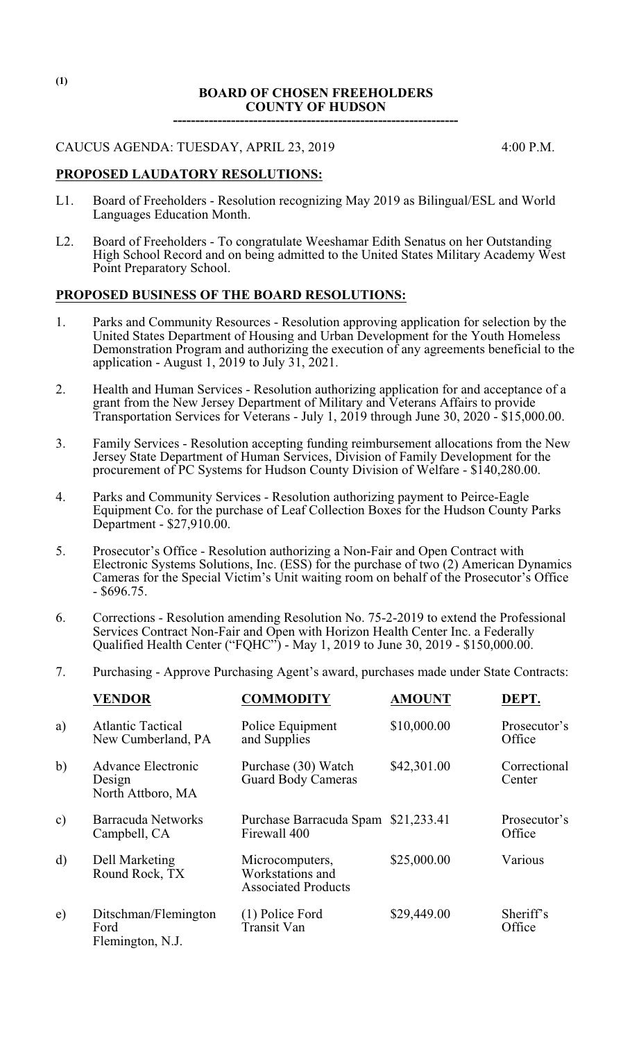### **BOARD OF CHOSEN FREEHOLDERS COUNTY OF HUDSON**

**----------------------------------------------------------------**

CAUCUS AGENDA: TUESDAY, APRIL 23, 2019 4:00 P.M.

# **PROPOSED LAUDATORY RESOLUTIONS:**

- L1. Board of Freeholders Resolution recognizing May 2019 as Bilingual/ESL and World Languages Education Month.
- L2. Board of Freeholders To congratulate Weeshamar Edith Senatus on her Outstanding High School Record and on being admitted to the United States Military Academy West Point Preparatory School.

### **PROPOSED BUSINESS OF THE BOARD RESOLUTIONS:**

- 1. Parks and Community Resources Resolution approving application for selection by the United States Department of Housing and Urban Development for the Youth Homeless Demonstration Program and authorizing the execution of any agreements beneficial to the application - August 1, 2019 to July 31, 2021.
- 2. Health and Human Services Resolution authorizing application for and acceptance of a grant from the New Jersey Department of Military and Veterans Affairs to provide Transportation Services for Veterans - July 1, 2019 through June 30, 2020 - \$15,000.00.
- 3. Family Services Resolution accepting funding reimbursement allocations from the New Jersey State Department of Human Services, Division of Family Development for the procurement of PC Systems for Hudson County Division of Welfare - \$140,280.00.
- 4. Parks and Community Services Resolution authorizing payment to Peirce-Eagle Equipment Co. for the purchase of Leaf Collection Boxes for the Hudson County Parks Department - \$27,910.00.
- 5. Prosecutor's Office Resolution authorizing a Non-Fair and Open Contract with Electronic Systems Solutions, Inc. (ESS) for the purchase of two (2) American Dynamics Cameras for the Special Victim's Unit waiting room on behalf of the Prosecutor's Office - \$696.75.
- 6. Corrections Resolution amending Resolution No. 75-2-2019 to extend the Professional Services Contract Non-Fair and Open with Horizon Health Center Inc. a Federally Qualified Health Center ("FQHC") - May 1, 2019 to June 30, 2019 - \$150,000.00.
- 7. Purchasing Approve Purchasing Agent's award, purchases made under State Contracts:

|               | <b>VENDOR</b>                                     | <b>COMMODITY</b>                                                  | <b>AMOUNT</b> | DEPT.                  |
|---------------|---------------------------------------------------|-------------------------------------------------------------------|---------------|------------------------|
| a)            | <b>Atlantic Tactical</b><br>New Cumberland, PA    | Police Equipment<br>and Supplies                                  | \$10,000.00   | Prosecutor's<br>Office |
| b)            | Advance Electronic<br>Design<br>North Attboro, MA | Purchase (30) Watch<br><b>Guard Body Cameras</b>                  | \$42,301.00   | Correctional<br>Center |
| $\mathbf{c})$ | Barracuda Networks<br>Campbell, CA                | Purchase Barracuda Spam \$21,233.41<br>Firewall 400               |               | Prosecutor's<br>Office |
| $\mathbf{d}$  | Dell Marketing<br>Round Rock, TX                  | Microcomputers,<br>Workstations and<br><b>Associated Products</b> | \$25,000.00   | Various                |
| e)            | Ditschman/Flemington<br>Ford<br>Flemington, N.J.  | (1) Police Ford<br>Transit Van                                    | \$29,449.00   | Sheriff's<br>Office    |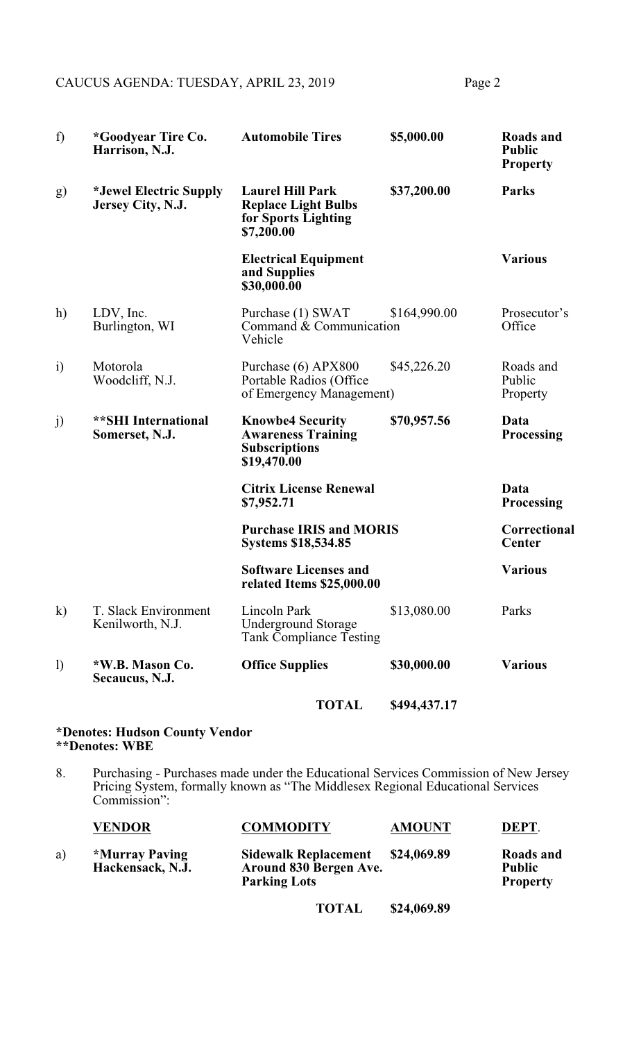CAUCUS AGENDA: TUESDAY, APRIL 23, 2019 Page 2

| f)           | <i>*Goodyear Tire Co.</i><br>Harrison, N.J.        | <b>Automobile Tires</b>                                                                     | \$5,000.00   | Roads and<br><b>Public</b><br><b>Property</b> |
|--------------|----------------------------------------------------|---------------------------------------------------------------------------------------------|--------------|-----------------------------------------------|
| g)           | <i>*Jewel Electric Supply</i><br>Jersey City, N.J. | <b>Laurel Hill Park</b><br><b>Replace Light Bulbs</b><br>for Sports Lighting<br>\$7,200.00  | \$37,200.00  | Parks                                         |
|              |                                                    | <b>Electrical Equipment</b><br>and Supplies<br>\$30,000.00                                  |              | <b>Various</b>                                |
| h)           | LDV, Inc.<br>Burlington, WI                        | Purchase (1) SWAT<br>Command & Communication<br>Vehicle                                     | \$164,990.00 | Prosecutor's<br>Office                        |
| $\ddot{i}$   | Motorola<br>Woodcliff, N.J.                        | Purchase (6) APX800<br>Portable Radios (Office<br>of Emergency Management)                  | \$45,226.20  | Roads and<br>Public<br>Property               |
| j)           | <b>**SHI International</b><br>Somerset, N.J.       | <b>Knowbe4 Security</b><br><b>Awareness Training</b><br><b>Subscriptions</b><br>\$19,470.00 | \$70,957.56  | Data<br><b>Processing</b>                     |
|              |                                                    | <b>Citrix License Renewal</b><br>\$7,952.71                                                 |              | Data<br><b>Processing</b>                     |
|              |                                                    | <b>Purchase IRIS and MORIS</b><br><b>Systems \$18,534.85</b>                                |              | Correctional<br>Center                        |
|              |                                                    | <b>Software Licenses and</b><br>related Items \$25,000.00                                   |              | <b>Various</b>                                |
| $\mathbf{k}$ | T. Slack Environment<br>Kenilworth, N.J.           | Lincoln Park<br><b>Underground Storage</b><br><b>Tank Compliance Testing</b>                | \$13,080.00  | Parks                                         |
| $\mathbf{I}$ | *W.B. Mason Co.<br>Secaucus, N.J.                  | <b>Office Supplies</b>                                                                      | \$30,000.00  | <b>Various</b>                                |
|              |                                                    | <b>TOTAL</b>                                                                                | \$494,437.17 |                                               |

#### **\*Denotes: Hudson County Vendor \*\*Denotes: WBE**

8. Purchasing - Purchases made under the Educational Services Commission of New Jersey Pricing System, formally known as "The Middlesex Regional Educational Services Commission":

|    | <b>VENDOR</b>                      | <b>COMMODITY</b>                                                             | <b>AMOUNT</b> | DEPT.                                         |
|----|------------------------------------|------------------------------------------------------------------------------|---------------|-----------------------------------------------|
| a) | *Murray Paving<br>Hackensack, N.J. | <b>Sidewalk Replacement</b><br>Around 830 Bergen Ave.<br><b>Parking Lots</b> | \$24,069.89   | Roads and<br><b>Public</b><br><b>Property</b> |

**TOTAL \$24,069.89**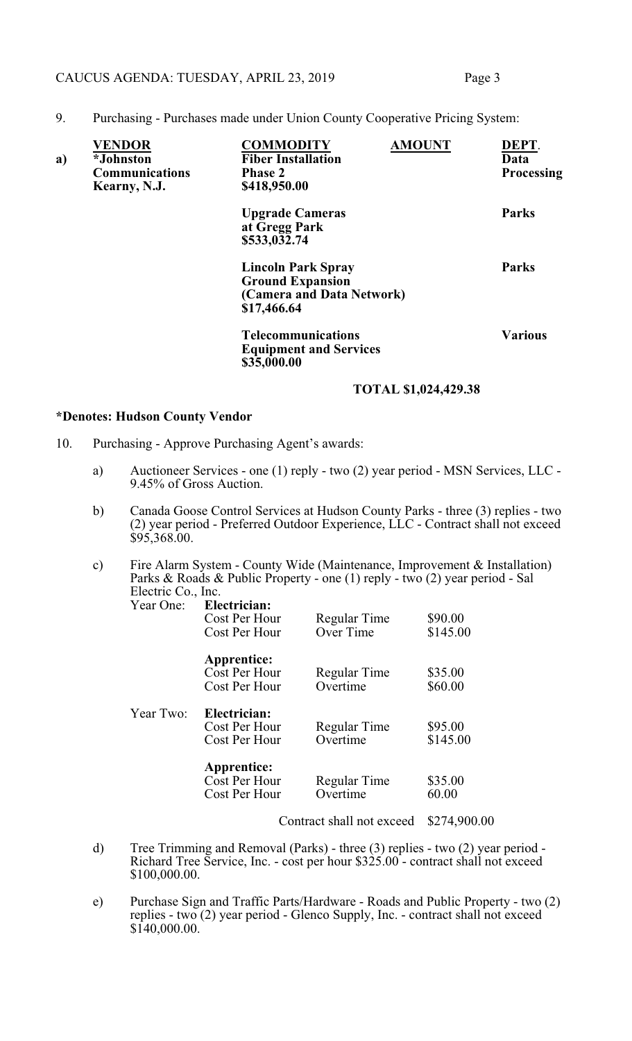### CAUCUS AGENDA: TUESDAY, APRIL 23, 2019 Page 3

9. Purchasing - Purchases made under Union County Cooperative Pricing System:

| a) | <b>VENDOR</b><br><i>*Johnston</i><br><b>Communications</b><br>Kearny, N.J. | <b>COMMODITY</b><br><b>Fiber Installation</b><br><b>Phase 2</b><br>\$418,950.00                  | <b>AMOUNT</b> | DEPT.<br>Data<br>Processing |
|----|----------------------------------------------------------------------------|--------------------------------------------------------------------------------------------------|---------------|-----------------------------|
|    |                                                                            | <b>Upgrade Cameras</b><br>at Gregg Park<br>\$533,032.74                                          |               | <b>Parks</b>                |
|    |                                                                            | <b>Lincoln Park Spray</b><br><b>Ground Expansion</b><br>(Camera and Data Network)<br>\$17,466.64 |               | <b>Parks</b>                |
|    |                                                                            | <b>Telecommunications</b><br><b>Equipment and Services</b><br>\$35,000.00                        |               | <b>Various</b>              |

### **TOTAL \$1,024,429.38**

#### **\*Denotes: Hudson County Vendor**

- 10. Purchasing Approve Purchasing Agent's awards:
	- a) Auctioneer Services one (1) reply two (2) year period MSN Services, LLC 9.45% of Gross Auction.
	- b) Canada Goose Control Services at Hudson County Parks three (3) replies two (2) year period - Preferred Outdoor Experience, LLC - Contract shall not exceed  $$95,368.00.$
	- c) Fire Alarm System County Wide (Maintenance, Improvement & Installation) Parks & Roads & Public Property - one (1) reply - two (2) year period - Sal Electric Co., Inc.<br>Year One: Ele

| Year One: | Electrician:<br>Cost Per Hour<br>Cost Per Hour       | Regular Time<br>Over Time | \$90.00<br>\$145.00 |
|-----------|------------------------------------------------------|---------------------------|---------------------|
|           | <b>Apprentice:</b><br>Cost Per Hour<br>Cost Per Hour | Regular Time<br>Overtime  | \$35.00<br>\$60.00  |
| Year Two: | Electrician:<br>Cost Per Hour<br>Cost Per Hour       | Regular Time<br>Overtime  | \$95.00<br>\$145.00 |
|           | <b>Apprentice:</b><br>Cost Per Hour<br>Cost Per Hour | Regular Time<br>Overtime  | \$35.00<br>60.00    |

Contract shall not exceed \$274,900.00

- d) Tree Trimming and Removal (Parks) three (3) replies two (2) year period Richard Tree Service, Inc. - cost per hour \$325.00 - contract shall not exceed \$100,000.00.
- e) Purchase Sign and Traffic Parts/Hardware Roads and Public Property two (2) replies - two  $(2)$  year period - Glenco Supply, Inc. - contract shall not exceed  $$140,000.00.$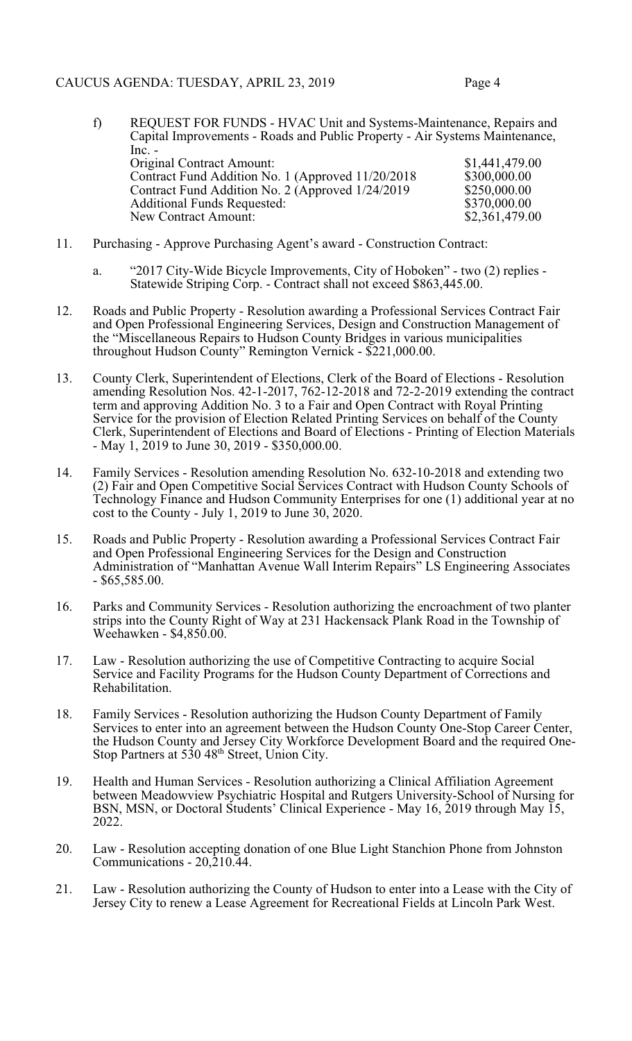- f) REQUEST FOR FUNDS HVAC Unit and Systems-Maintenance, Repairs and Capital Improvements - Roads and Public Property - Air Systems Maintenance, Inc. - Original Contract Amount: \$1,441,479.00<br>
Contract Fund Addition No. 1 (Approved 11/20/2018 \$300,000.00 Contract Fund Addition No. 1 (Approved 11/20/2018 \$300,000.00<br>Contract Fund Addition No. 2 (Approved 1/24/2019 \$250,000.00 Contract Fund Addition No. 2 (Approved 1/24/2019 \$250,000.00<br>Additional Funds Requested: \$370,000.00 Additional Funds Requested: \$370,000.00<br>New Contract Amount: \$2,361,479.00 New Contract Amount:
- 11. Purchasing Approve Purchasing Agent's award Construction Contract:
	- a. "2017 City-Wide Bicycle Improvements, City of Hoboken" two (2) replies Statewide Striping Corp. - Contract shall not exceed \$863,445.00.
- 12. Roads and Public Property Resolution awarding a Professional Services Contract Fair and Open Professional Engineering Services, Design and Construction Management of the "Miscellaneous Repairs to Hudson County Bridges in various municipalities throughout Hudson County" Remington Vernick - \$221,000.00.
- 13. County Clerk, Superintendent of Elections, Clerk of the Board of Elections Resolution amending Resolution Nos. 42-1-2017, 762-12-2018 and 72-2-2019 extending the contract term and approving Addition No. 3 to a Fair and Open Contract with Royal Printing Service for the provision of Election Related Printing Services on behalf of the County Clerk, Superintendent of Elections and Board of Elections - Printing of Election Materials - May 1, 2019 to June 30, 2019 - \$350,000.00.
- 14. Family Services Resolution amending Resolution No. 632-10-2018 and extending two (2) Fair and Open Competitive Social Services Contract with Hudson County Schools of Technology Finance and Hudson Community Enterprises for one (1) additional year at no cost to the County - July 1, 2019 to June 30, 2020.
- 15. Roads and Public Property Resolution awarding a Professional Services Contract Fair and Open Professional Engineering Services for the Design and Construction Administration of "Manhattan Avenue Wall Interim Repairs" LS Engineering Associates - \$65,585.00.
- 16. Parks and Community Services Resolution authorizing the encroachment of two planter strips into the County Right of Way at 231 Hackensack Plank Road in the Township of Weehawken - \$4,850.00.
- 17. Law Resolution authorizing the use of Competitive Contracting to acquire Social Service and Facility Programs for the Hudson County Department of Corrections and Rehabilitation.
- 18. Family Services Resolution authorizing the Hudson County Department of Family Services to enter into an agreement between the Hudson County One-Stop Career Center, the Hudson County and Jersey City Workforce Development Board and the required One-Stop Partners at 530 48<sup>th</sup> Street, Union City.
- 19. Health and Human Services Resolution authorizing a Clinical Affiliation Agreement between Meadowview Psychiatric Hospital and Rutgers University-School of Nursing for BSN, MSN, or Doctoral Students' Clinical Experience - May 16, 2019 through May 15, 2022.
- 20. Law Resolution accepting donation of one Blue Light Stanchion Phone from Johnston Communications -  $20,210.44$ .
- 21. Law Resolution authorizing the County of Hudson to enter into a Lease with the City of Jersey City to renew a Lease Agreement for Recreational Fields at Lincoln Park West.